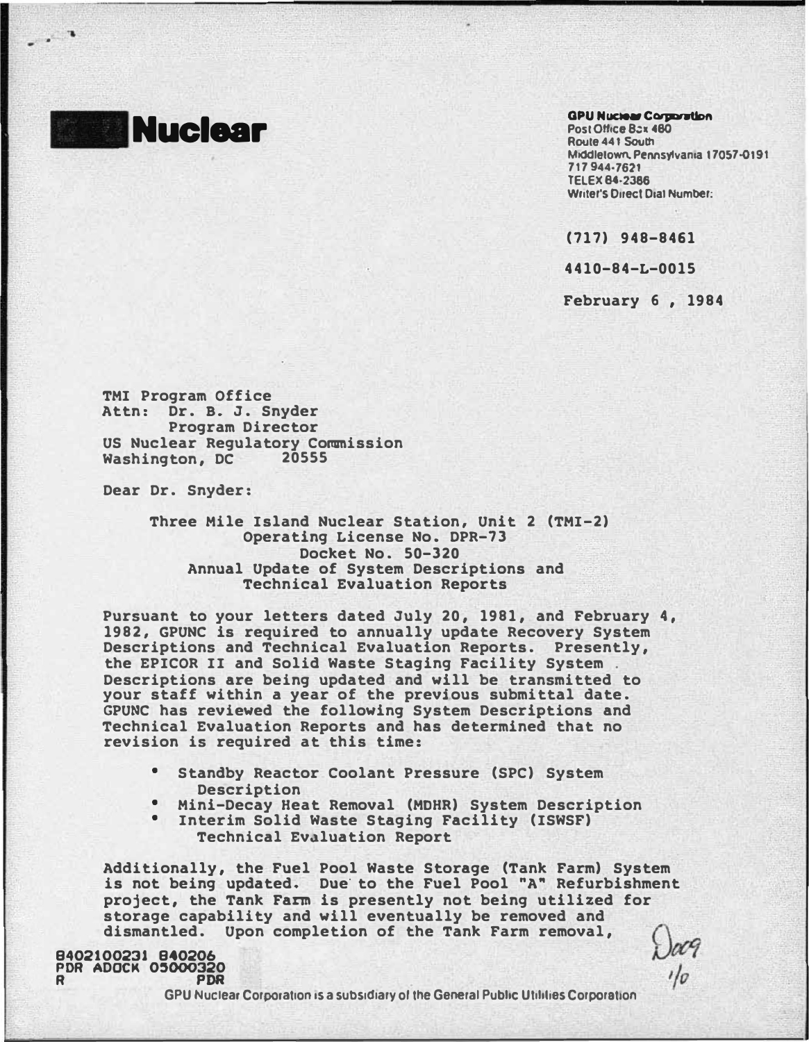**Nuclear** 

## **GPU Nuclear Corporation**

Post Office Bax 480 Route 44 I South Middletown. Pennsylvania 17057-0191 717944·7621 TELEX 84·2386 Writer's Direct Dial Number:

(717) 948-8461

4410-84-L-0015

February 6 , 1984

 $1/2$ 

TMI Program Office Attn: Dr. B. J. Snyder Program Director US Nuclear Regulatory Commission Washington, DC

Dear Dr. Snyder:

Three Mile Island Nuclear Station, Unit 2 (TMI-2) Operating License No. DPR-73 Docket No. 50-320 Annual Update of System Descriptions and Technical Evaluation Reports

Pursuant to your letters dated July 20, 1981, and February 4, 1982, GPUNC is required to annually update Recovery System Descriptions and Technical Evaluation Reports. Presently, the EPICOR II and Solid Waste Staging Facility System . Descriptions are being updated and will be transmitted to your staff within a year of the prevjous submittal date. GPUNC has reviewed the following System Descriptions and Technical Evaluation Reports and has determined that no revision is required at this time:

- Standby Reactor Coolant Pressure (SPC) System Description
- Mini-Decay Heat Removal (MOHR) System Description
- Interim Solid Waste Staging Facility (ISWSF) Technical Ev�luation Report

Additionally, the Fuel Pool Waste Storage (Tank Farm) System is not being updated. Due to the Fuel Pool "A" Refurbishment project, the Tank Farm is presently not being utilized for storage capability and will eventually be removed and dismantled. Upon completion of the Tank Farm removal,

8402100231 840206 PDR ADOCK 05000320 R PDR

GPU Nuclear Corporation is a subsidiary of the General Public Utilities Corporation